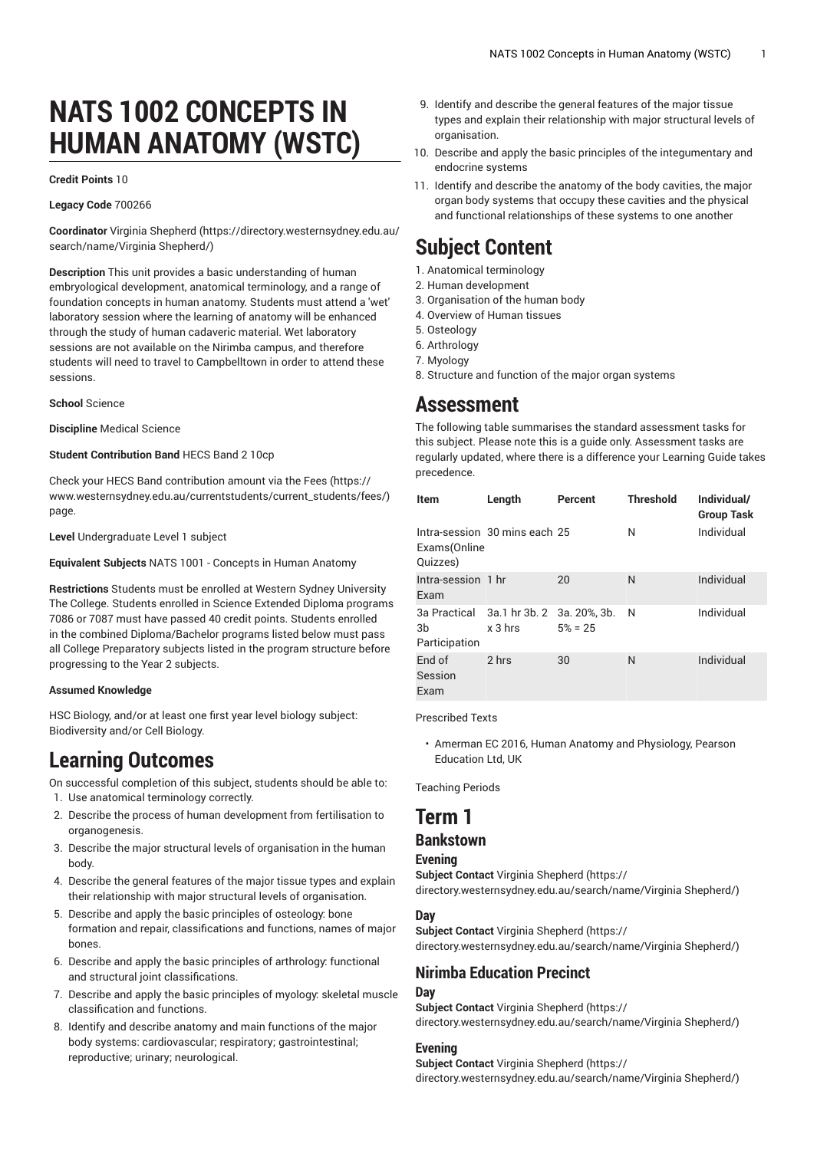# **NATS 1002 CONCEPTS IN HUMAN ANATOMY (WSTC)**

#### **Credit Points** 10

#### **Legacy Code** 700266

**Coordinator** Virginia [Shepherd](https://directory.westernsydney.edu.au/search/name/Virginia Shepherd/) ([https://directory.westernsydney.edu.au/](https://directory.westernsydney.edu.au/search/name/Virginia Shepherd/) [search/name/Virginia](https://directory.westernsydney.edu.au/search/name/Virginia Shepherd/) Shepherd/)

**Description** This unit provides a basic understanding of human embryological development, anatomical terminology, and a range of foundation concepts in human anatomy. Students must attend a 'wet' laboratory session where the learning of anatomy will be enhanced through the study of human cadaveric material. Wet laboratory sessions are not available on the Nirimba campus, and therefore students will need to travel to Campbelltown in order to attend these sessions.

#### **School** Science

**Discipline** Medical Science

#### **Student Contribution Band** HECS Band 2 10cp

Check your HECS Band contribution amount via the [Fees \(https://](https://www.westernsydney.edu.au/currentstudents/current_students/fees/) [www.westernsydney.edu.au/currentstudents/current\\_students/fees/\)](https://www.westernsydney.edu.au/currentstudents/current_students/fees/) page.

**Level** Undergraduate Level 1 subject

**Equivalent Subjects** [NATS](/search/?P=NATS%201001) 1001 - Concepts in Human Anatomy

**Restrictions** Students must be enrolled at Western Sydney University The College. Students enrolled in Science Extended Diploma programs 7086 or 7087 must have passed 40 credit points. Students enrolled in the combined Diploma/Bachelor programs listed below must pass all College Preparatory subjects listed in the program structure before progressing to the Year 2 subjects.

#### **Assumed Knowledge**

HSC Biology, and/or at least one first year level biology subject: Biodiversity and/or Cell Biology.

# **Learning Outcomes**

On successful completion of this subject, students should be able to:

- 1. Use anatomical terminology correctly.
- 2. Describe the process of human development from fertilisation to organogenesis.
- 3. Describe the major structural levels of organisation in the human body.
- 4. Describe the general features of the major tissue types and explain their relationship with major structural levels of organisation.
- 5. Describe and apply the basic principles of osteology: bone formation and repair, classifications and functions, names of major bones.
- 6. Describe and apply the basic principles of arthrology: functional and structural joint classifications.
- 7. Describe and apply the basic principles of myology: skeletal muscle classification and functions.
- 8. Identify and describe anatomy and main functions of the major body systems: cardiovascular; respiratory; gastrointestinal; reproductive; urinary; neurological.
- 9. Identify and describe the general features of the major tissue types and explain their relationship with major structural levels of organisation.
- 10. Describe and apply the basic principles of the integumentary and endocrine systems
- 11. Identify and describe the anatomy of the body cavities, the major organ body systems that occupy these cavities and the physical and functional relationships of these systems to one another

# **Subject Content**

- 1. Anatomical terminology
- 2. Human development
- 3. Organisation of the human body
- 4. Overview of Human tissues
- 5. Osteology
- 6. Arthrology 7. Myology
- 8. Structure and function of the major organ systems

# **Assessment**

The following table summarises the standard assessment tasks for this subject. Please note this is a guide only. Assessment tasks are regularly updated, where there is a difference your Learning Guide takes precedence.

| <b>Item</b>                | Length                                              | Percent    | <b>Threshold</b> | Individual/<br><b>Group Task</b> |
|----------------------------|-----------------------------------------------------|------------|------------------|----------------------------------|
| Exams(Online<br>Quizzes)   | Intra-session 30 mins each 25                       |            | N                | Individual                       |
| Intra-session 1 hr<br>Exam |                                                     | 20         | N                | Individual                       |
| 3b<br>Participation        | 3a Practical 3a.1 hr 3b. 2 3a. 20%, 3b.<br>$x3$ hrs | $5\% = 25$ | N                | Individual                       |
| Fnd of<br>Session<br>Exam  | 2 hrs                                               | 30         | N                | Individual                       |

Prescribed Texts

• Amerman EC 2016, Human Anatomy and Physiology, Pearson Education Ltd, UK

Teaching Periods

# **Term 1**

### **Bankstown**

#### **Evening**

**Subject Contact** Virginia [Shepherd](https://directory.westernsydney.edu.au/search/name/Virginia Shepherd/) ([https://](https://directory.westernsydney.edu.au/search/name/Virginia Shepherd/) [directory.westernsydney.edu.au/search/name/Virginia](https://directory.westernsydney.edu.au/search/name/Virginia Shepherd/) Shepherd/)

#### **Day**

**Subject Contact** Virginia [Shepherd](https://directory.westernsydney.edu.au/search/name/Virginia Shepherd/) ([https://](https://directory.westernsydney.edu.au/search/name/Virginia Shepherd/)

[directory.westernsydney.edu.au/search/name/Virginia](https://directory.westernsydney.edu.au/search/name/Virginia Shepherd/) Shepherd/)

### **Nirimba Education Precinct**

#### **Day**

**Subject Contact** Virginia [Shepherd](https://directory.westernsydney.edu.au/search/name/Virginia Shepherd/) ([https://](https://directory.westernsydney.edu.au/search/name/Virginia Shepherd/) [directory.westernsydney.edu.au/search/name/Virginia](https://directory.westernsydney.edu.au/search/name/Virginia Shepherd/) Shepherd/)

#### **Evening**

**Subject Contact** Virginia [Shepherd](https://directory.westernsydney.edu.au/search/name/Virginia Shepherd/) ([https://](https://directory.westernsydney.edu.au/search/name/Virginia Shepherd/) [directory.westernsydney.edu.au/search/name/Virginia](https://directory.westernsydney.edu.au/search/name/Virginia Shepherd/) Shepherd/)